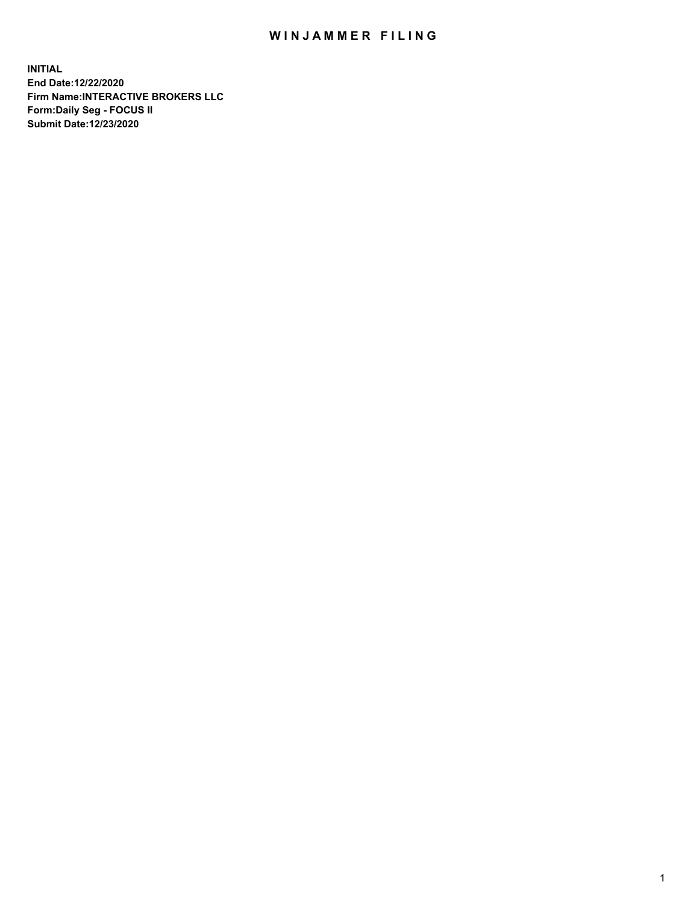## WIN JAMMER FILING

**INITIAL End Date:12/22/2020 Firm Name:INTERACTIVE BROKERS LLC Form:Daily Seg - FOCUS II Submit Date:12/23/2020**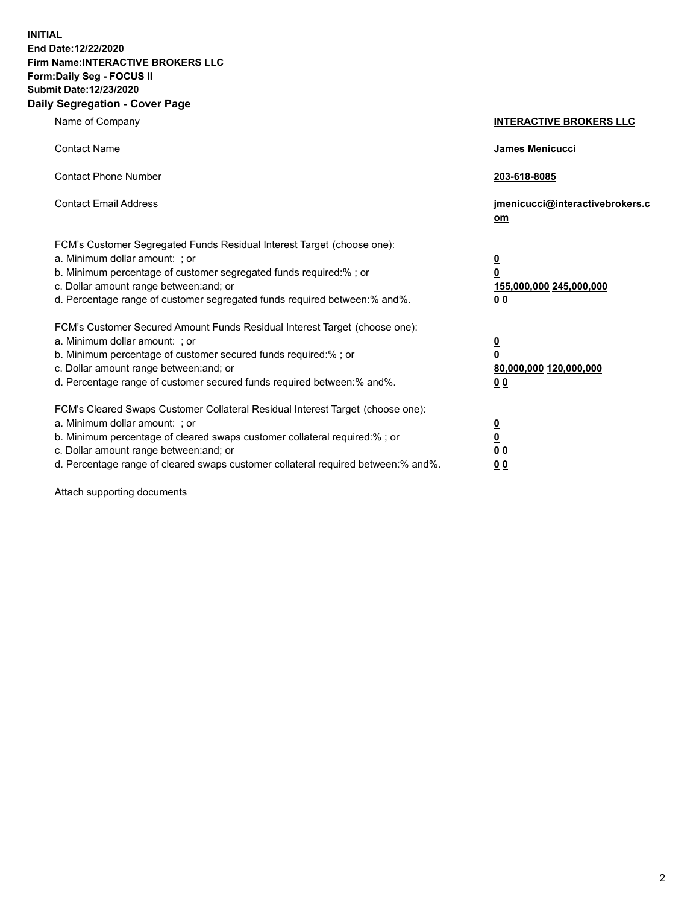**INITIAL End Date:12/22/2020 Firm Name:INTERACTIVE BROKERS LLC Form:Daily Seg - FOCUS II Submit Date:12/23/2020 Daily Segregation - Cover Page**

| Name of Company                                                                                                                                                                                                                                                                                                                | <b>INTERACTIVE BROKERS LLC</b>                                                  |  |
|--------------------------------------------------------------------------------------------------------------------------------------------------------------------------------------------------------------------------------------------------------------------------------------------------------------------------------|---------------------------------------------------------------------------------|--|
| <b>Contact Name</b>                                                                                                                                                                                                                                                                                                            | James Menicucci                                                                 |  |
| <b>Contact Phone Number</b>                                                                                                                                                                                                                                                                                                    | 203-618-8085                                                                    |  |
| <b>Contact Email Address</b>                                                                                                                                                                                                                                                                                                   | jmenicucci@interactivebrokers.c<br>om                                           |  |
| FCM's Customer Segregated Funds Residual Interest Target (choose one):<br>a. Minimum dollar amount: ; or<br>b. Minimum percentage of customer segregated funds required:%; or<br>c. Dollar amount range between: and; or<br>d. Percentage range of customer segregated funds required between:% and%.                          | <u>0</u><br>$\overline{\mathbf{0}}$<br>155,000,000 245,000,000<br><u>00</u>     |  |
| FCM's Customer Secured Amount Funds Residual Interest Target (choose one):<br>a. Minimum dollar amount: ; or<br>b. Minimum percentage of customer secured funds required:% ; or<br>c. Dollar amount range between: and; or<br>d. Percentage range of customer secured funds required between:% and%.                           | <u>0</u><br>$\overline{\mathbf{0}}$<br>80,000,000 120,000,000<br>0 <sub>0</sub> |  |
| FCM's Cleared Swaps Customer Collateral Residual Interest Target (choose one):<br>a. Minimum dollar amount: ; or<br>b. Minimum percentage of cleared swaps customer collateral required:% ; or<br>c. Dollar amount range between: and; or<br>d. Percentage range of cleared swaps customer collateral required between:% and%. | <u>0</u><br>$\underline{\mathbf{0}}$<br>0 <sub>0</sub><br>0 <sub>0</sub>        |  |

Attach supporting documents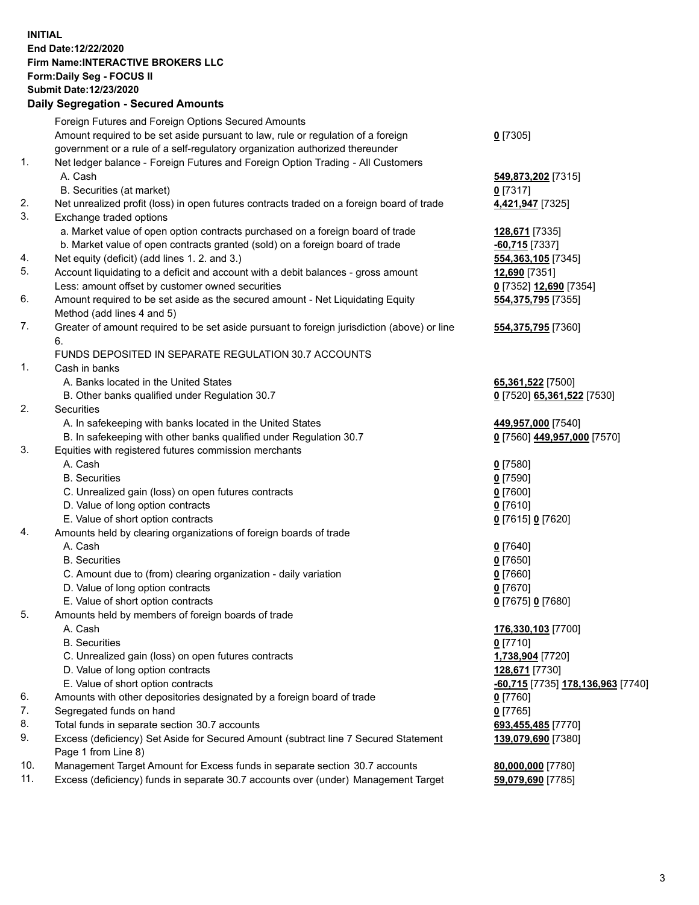**INITIAL End Date:12/22/2020 Firm Name:INTERACTIVE BROKERS LLC Form:Daily Seg - FOCUS II Submit Date:12/23/2020 Daily Segregation - Secured Amounts**

## Foreign Futures and Foreign Options Secured Amounts Amount required to be set aside pursuant to law, rule or regulation of a foreign government or a rule of a self-regulatory organization authorized thereunder **0** [7305] 1. Net ledger balance - Foreign Futures and Foreign Option Trading - All Customers A. Cash **549,873,202** [7315] B. Securities (at market) **0** [7317] 2. Net unrealized profit (loss) in open futures contracts traded on a foreign board of trade **4,421,947** [7325] 3. Exchange traded options a. Market value of open option contracts purchased on a foreign board of trade **128,671** [7335] b. Market value of open contracts granted (sold) on a foreign board of trade **-60,715** [7337] 4. Net equity (deficit) (add lines 1. 2. and 3.) **554,363,105** [7345] 5. Account liquidating to a deficit and account with a debit balances - gross amount **12,690** [7351] Less: amount offset by customer owned securities **0** [7352] **12,690** [7354] 6. Amount required to be set aside as the secured amount - Net Liquidating Equity Method (add lines 4 and 5) **554,375,795** [7355] 7. Greater of amount required to be set aside pursuant to foreign jurisdiction (above) or line 6. **554,375,795** [7360] FUNDS DEPOSITED IN SEPARATE REGULATION 30.7 ACCOUNTS 1. Cash in banks A. Banks located in the United States **65,361,522** [7500] B. Other banks qualified under Regulation 30.7 **0** [7520] **65,361,522** [7530] 2. Securities A. In safekeeping with banks located in the United States **449,957,000** [7540] B. In safekeeping with other banks qualified under Regulation 30.7 **0** [7560] **449,957,000** [7570] 3. Equities with registered futures commission merchants A. Cash **0** [7580] B. Securities **0** [7590] C. Unrealized gain (loss) on open futures contracts **0** [7600] D. Value of long option contracts **0** [7610] E. Value of short option contracts **0** [7615] **0** [7620] 4. Amounts held by clearing organizations of foreign boards of trade A. Cash **0** [7640] B. Securities **0** [7650] C. Amount due to (from) clearing organization - daily variation **0** [7660] D. Value of long option contracts **0** [7670] E. Value of short option contracts **0** [7675] **0** [7680] 5. Amounts held by members of foreign boards of trade A. Cash **176,330,103** [7700] B. Securities **0** [7710] C. Unrealized gain (loss) on open futures contracts **1,738,904** [7720] D. Value of long option contracts **128,671** [7730] E. Value of short option contracts **-60,715** [7735] **178,136,963** [7740] 6. Amounts with other depositories designated by a foreign board of trade **0** [7760] 7. Segregated funds on hand **0** [7765] 8. Total funds in separate section 30.7 accounts **693,455,485** [7770] 9. Excess (deficiency) Set Aside for Secured Amount (subtract line 7 Secured Statement Page 1 from Line 8) **139,079,690** [7380] 10. Management Target Amount for Excess funds in separate section 30.7 accounts **80,000,000** [7780] 11. Excess (deficiency) funds in separate 30.7 accounts over (under) Management Target **59,079,690** [7785]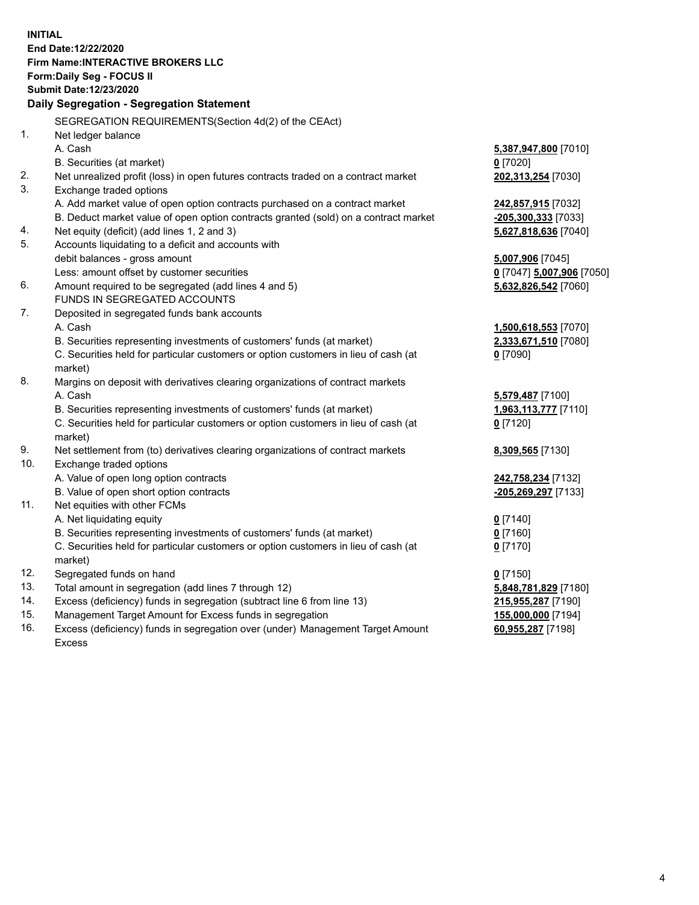**INITIAL End Date:12/22/2020 Firm Name:INTERACTIVE BROKERS LLC Form:Daily Seg - FOCUS II Submit Date:12/23/2020 Daily Segregation - Segregation Statement** SEGREGATION REQUIREMENTS(Section 4d(2) of the CEAct) 1. Net ledger balance A. Cash **5,387,947,800** [7010] B. Securities (at market) **0** [7020] 2. Net unrealized profit (loss) in open futures contracts traded on a contract market **202,313,254** [7030] 3. Exchange traded options A. Add market value of open option contracts purchased on a contract market **242,857,915** [7032] B. Deduct market value of open option contracts granted (sold) on a contract market **-205,300,333** [7033] 4. Net equity (deficit) (add lines 1, 2 and 3) **5,627,818,636** [7040] 5. Accounts liquidating to a deficit and accounts with debit balances - gross amount **5,007,906** [7045] Less: amount offset by customer securities **0** [7047] **5,007,906** [7050] 6. Amount required to be segregated (add lines 4 and 5) **5,632,826,542** [7060] FUNDS IN SEGREGATED ACCOUNTS 7. Deposited in segregated funds bank accounts A. Cash **1,500,618,553** [7070] B. Securities representing investments of customers' funds (at market) **2,333,671,510** [7080] C. Securities held for particular customers or option customers in lieu of cash (at market) **0** [7090] 8. Margins on deposit with derivatives clearing organizations of contract markets A. Cash **5,579,487** [7100] B. Securities representing investments of customers' funds (at market) **1,963,113,777** [7110] C. Securities held for particular customers or option customers in lieu of cash (at market) **0** [7120] 9. Net settlement from (to) derivatives clearing organizations of contract markets **8,309,565** [7130] 10. Exchange traded options A. Value of open long option contracts **242,758,234** [7132] B. Value of open short option contracts **-205,269,297** [7133] 11. Net equities with other FCMs A. Net liquidating equity **0** [7140] B. Securities representing investments of customers' funds (at market) **0** [7160] C. Securities held for particular customers or option customers in lieu of cash (at market) **0** [7170] 12. Segregated funds on hand **0** [7150] 13. Total amount in segregation (add lines 7 through 12) **5,848,781,829** [7180] 14. Excess (deficiency) funds in segregation (subtract line 6 from line 13) **215,955,287** [7190] 15. Management Target Amount for Excess funds in segregation **155,000,000** [7194]

16. Excess (deficiency) funds in segregation over (under) Management Target Amount Excess

**60,955,287** [7198]